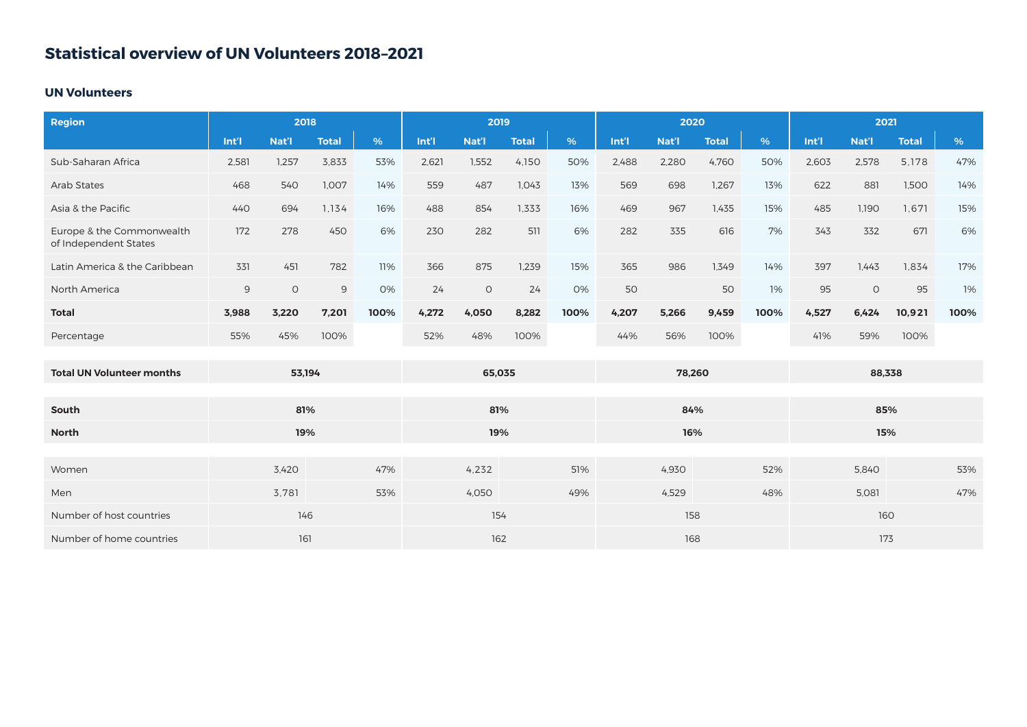## **Statistical overview of UN Volunteers 2018–2021**

## **UN Volunteers**

| <b>Region</b>                                      | 2018   |         |              |        | 2019  |         |              |        | 2020  |       |              |        | 2021  |         |              |      |
|----------------------------------------------------|--------|---------|--------------|--------|-------|---------|--------------|--------|-------|-------|--------------|--------|-------|---------|--------------|------|
|                                                    | Int'l  | Nat'l   | <b>Total</b> | %      | Int'l | Nat'l   | <b>Total</b> | %      | Int'l | Nat'l | <b>Total</b> | %      | Int'l | Nat'l   | <b>Total</b> | %    |
| Sub-Saharan Africa                                 | 2,581  | 1,257   | 3,833        | 53%    | 2,621 | 1,552   | 4,150        | 50%    | 2,488 | 2,280 | 4,760        | 50%    | 2,603 | 2,578   | 5,178        | 47%  |
| <b>Arab States</b>                                 | 468    | 540     | 1,007        | 14%    | 559   | 487     | 1,043        | 13%    | 569   | 698   | 1,267        | 13%    | 622   | 881     | 1,500        | 14%  |
| Asia & the Pacific                                 | 440    | 694     | 1,134        | 16%    | 488   | 854     | 1,333        | 16%    | 469   | 967   | 1,435        | 15%    | 485   | 1,190   | 1,671        | 15%  |
| Europe & the Commonwealth<br>of Independent States | 172    | 278     | 450          | 6%     | 230   | 282     | 511          | 6%     | 282   | 335   | 616          | 7%     | 343   | 332     | 671          | 6%   |
| Latin America & the Caribbean                      | 331    | 451     | 782          | 11%    | 366   | 875     | 1,239        | 15%    | 365   | 986   | 1.349        | 14%    | 397   | 1,443   | 1.834        | 17%  |
| North America                                      | 9      | $\circ$ | 9            | 0%     | 24    | $\circ$ | 24           | 0%     | 50    |       | 50           | 1%     | 95    | $\circ$ | 95           | 1%   |
| <b>Total</b>                                       | 3,988  | 3,220   | 7,201        | 100%   | 4,272 | 4,050   | 8,282        | 100%   | 4,207 | 5,266 | 9,459        | 100%   | 4,527 | 6,424   | 10,921       | 100% |
| Percentage                                         | 55%    | 45%     | 100%         |        | 52%   | 48%     | 100%         |        | 44%   | 56%   | 100%         |        | 41%   | 59%     | 100%         |      |
|                                                    |        |         |              |        |       |         |              |        |       |       |              |        |       |         |              |      |
| <b>Total UN Volunteer months</b>                   | 53,194 |         |              | 65,035 |       |         |              | 78,260 |       |       |              | 88,338 |       |         |              |      |
|                                                    |        |         |              |        |       |         |              |        |       |       |              |        |       |         |              |      |
| South                                              | 81%    |         |              |        | 81%   |         |              |        | 84%   |       |              |        | 85%   |         |              |      |
| <b>North</b>                                       | 19%    |         |              |        | 19%   |         |              |        | 16%   |       |              |        | 15%   |         |              |      |
|                                                    |        |         |              |        |       |         |              |        |       |       |              |        |       |         |              |      |
| Women                                              |        | 3,420   |              | 47%    |       | 4,232   |              | 51%    |       | 4,930 |              | 52%    |       | 5,840   |              | 53%  |
| Men                                                |        | 3,781   |              | 53%    |       | 4,050   |              | 49%    |       | 4,529 |              | 48%    |       | 5,081   |              | 47%  |
| Number of host countries                           | 146    |         |              | 154    |       |         |              | 158    |       |       |              | 160    |       |         |              |      |
| Number of home countries                           | 161    |         |              | 162    |       |         |              | 168    |       |       |              | 173    |       |         |              |      |